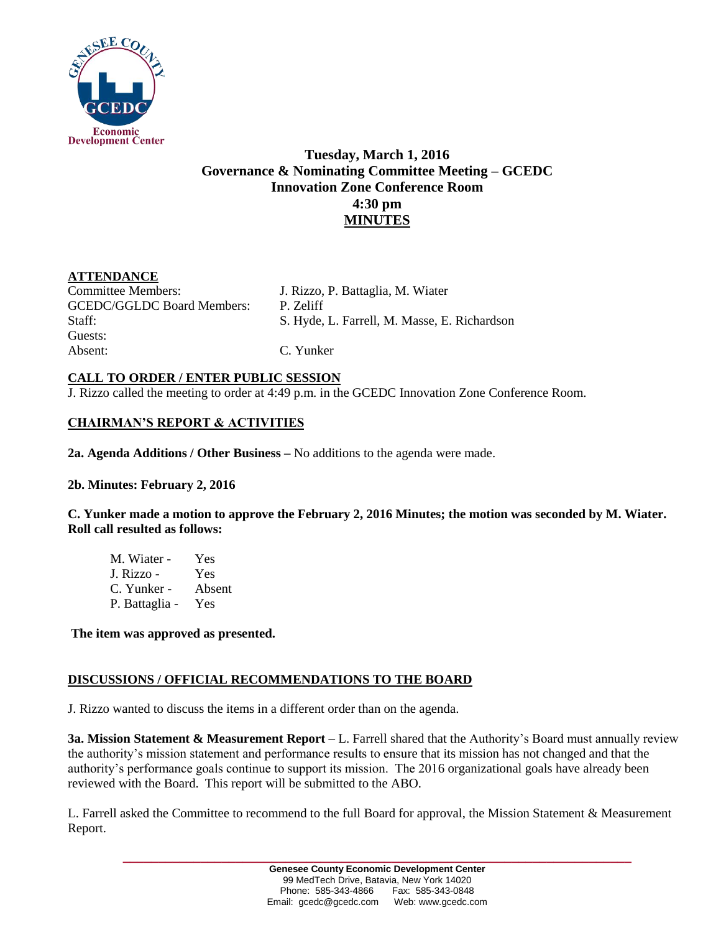

# **Tuesday, March 1, 2016 Governance & Nominating Committee Meeting – GCEDC Innovation Zone Conference Room 4:30 pm MINUTES**

## **ATTENDANCE**

Committee Members: J. Rizzo, P. Battaglia, M. Wiater GCEDC/GGLDC Board Members: P. Zeliff Guests: Absent: C. Yunker

Staff: S. Hyde, L. Farrell, M. Masse, E. Richardson

## **CALL TO ORDER / ENTER PUBLIC SESSION**

J. Rizzo called the meeting to order at 4:49 p.m. in the GCEDC Innovation Zone Conference Room.

# **CHAIRMAN'S REPORT & ACTIVITIES**

**2a. Agenda Additions / Other Business –** No additions to the agenda were made.

### **2b. Minutes: February 2, 2016**

**C. Yunker made a motion to approve the February 2, 2016 Minutes; the motion was seconded by M. Wiater. Roll call resulted as follows:**

M. Wiater - Yes J. Rizzo - Yes C. Yunker - Absent P. Battaglia - Yes

**The item was approved as presented.** 

### **DISCUSSIONS / OFFICIAL RECOMMENDATIONS TO THE BOARD**

J. Rizzo wanted to discuss the items in a different order than on the agenda.

**3a. Mission Statement & Measurement Report –** L. Farrell shared that the Authority's Board must annually review the authority's mission statement and performance results to ensure that its mission has not changed and that the authority's performance goals continue to support its mission. The 2016 organizational goals have already been reviewed with the Board. This report will be submitted to the ABO.

L. Farrell asked the Committee to recommend to the full Board for approval, the Mission Statement & Measurement Report.

**\_\_\_\_\_\_\_\_\_\_\_\_\_\_\_\_\_\_\_\_\_\_\_\_\_\_\_\_\_\_\_\_\_\_\_\_\_\_\_\_\_\_\_\_\_\_\_\_\_\_\_\_\_\_\_\_\_\_\_\_\_\_\_\_\_\_\_\_\_\_\_\_**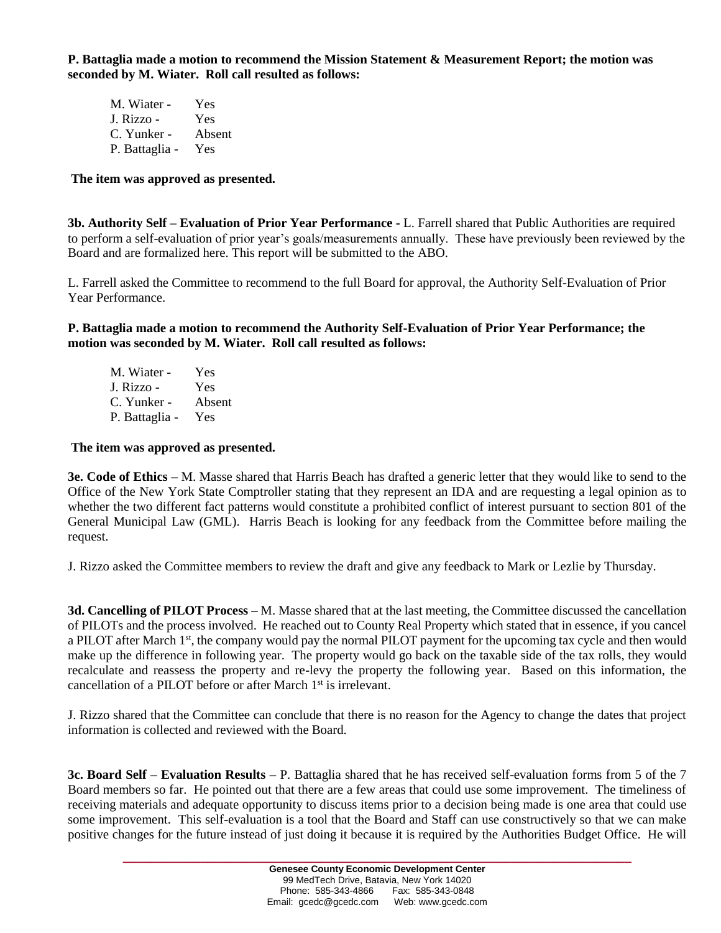**P. Battaglia made a motion to recommend the Mission Statement & Measurement Report; the motion was seconded by M. Wiater. Roll call resulted as follows:**

| M. Wiater -    | Yes    |
|----------------|--------|
| J. Rizzo -     | Yes    |
| C. Yunker -    | Absent |
| P. Battaglia - | Yes    |

#### **The item was approved as presented.**

**3b. Authority Self – Evaluation of Prior Year Performance -** L. Farrell shared that Public Authorities are required to perform a self-evaluation of prior year's goals/measurements annually. These have previously been reviewed by the Board and are formalized here. This report will be submitted to the ABO.

L. Farrell asked the Committee to recommend to the full Board for approval, the Authority Self-Evaluation of Prior Year Performance.

**P. Battaglia made a motion to recommend the Authority Self-Evaluation of Prior Year Performance; the motion was seconded by M. Wiater. Roll call resulted as follows:**

| M. Wiater -    | Yes    |
|----------------|--------|
| J. Rizzo -     | Yes    |
| C. Yunker -    | Absent |
| P. Battaglia - | Yes    |

#### **The item was approved as presented.**

**3e. Code of Ethics –** M. Masse shared that Harris Beach has drafted a generic letter that they would like to send to the Office of the New York State Comptroller stating that they represent an IDA and are requesting a legal opinion as to whether the two different fact patterns would constitute a prohibited conflict of interest pursuant to section 801 of the General Municipal Law (GML). Harris Beach is looking for any feedback from the Committee before mailing the request.

J. Rizzo asked the Committee members to review the draft and give any feedback to Mark or Lezlie by Thursday.

**3d. Cancelling of PILOT Process –** M. Masse shared that at the last meeting, the Committee discussed the cancellation of PILOTs and the process involved. He reached out to County Real Property which stated that in essence, if you cancel a PILOT after March 1<sup>st</sup>, the company would pay the normal PILOT payment for the upcoming tax cycle and then would make up the difference in following year. The property would go back on the taxable side of the tax rolls, they would recalculate and reassess the property and re-levy the property the following year. Based on this information, the cancellation of a PILOT before or after March 1<sup>st</sup> is irrelevant.

J. Rizzo shared that the Committee can conclude that there is no reason for the Agency to change the dates that project information is collected and reviewed with the Board.

**3c. Board Self – Evaluation Results –** P. Battaglia shared that he has received self-evaluation forms from 5 of the 7 Board members so far. He pointed out that there are a few areas that could use some improvement. The timeliness of receiving materials and adequate opportunity to discuss items prior to a decision being made is one area that could use some improvement. This self-evaluation is a tool that the Board and Staff can use constructively so that we can make positive changes for the future instead of just doing it because it is required by the Authorities Budget Office. He will

**\_\_\_\_\_\_\_\_\_\_\_\_\_\_\_\_\_\_\_\_\_\_\_\_\_\_\_\_\_\_\_\_\_\_\_\_\_\_\_\_\_\_\_\_\_\_\_\_\_\_\_\_\_\_\_\_\_\_\_\_\_\_\_\_\_\_\_\_\_\_\_\_**